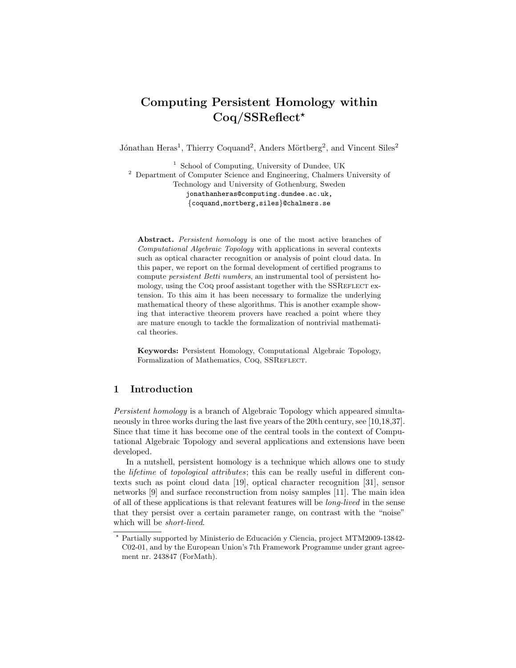# Computing Persistent Homology within Coq/SSReflect?

Jónathan Heras<sup>1</sup>, Thierry Coquand<sup>2</sup>, Anders Mörtberg<sup>2</sup>, and Vincent Siles<sup>2</sup>

<sup>1</sup> School of Computing, University of Dundee, UK <sup>2</sup> Department of Computer Science and Engineering, Chalmers University of Technology and University of Gothenburg, Sweden jonathanheras@computing.dundee.ac.uk, {coquand,mortberg,siles}@chalmers.se

Abstract. Persistent homology is one of the most active branches of Computational Algebraic Topology with applications in several contexts such as optical character recognition or analysis of point cloud data. In this paper, we report on the formal development of certified programs to compute persistent Betti numbers, an instrumental tool of persistent homology, using the CoQ proof assistant together with the SSREFLECT extension. To this aim it has been necessary to formalize the underlying mathematical theory of these algorithms. This is another example showing that interactive theorem provers have reached a point where they are mature enough to tackle the formalization of nontrivial mathematical theories.

Keywords: Persistent Homology, Computational Algebraic Topology, Formalization of Mathematics, CoQ, SSREFLECT.

# 1 Introduction

Persistent homology is a branch of Algebraic Topology which appeared simultaneously in three works during the last five years of the 20th century, see [\[10,](#page-17-0)[18,](#page-17-1)[37\]](#page-18-0). Since that time it has become one of the central tools in the context of Computational Algebraic Topology and several applications and extensions have been developed.

In a nutshell, persistent homology is a technique which allows one to study the lifetime of topological attributes; this can be really useful in different contexts such as point cloud data [\[19\]](#page-17-2), optical character recognition [\[31\]](#page-18-1), sensor networks [\[9\]](#page-17-3) and surface reconstruction from noisy samples [\[11\]](#page-17-4). The main idea of all of these applications is that relevant features will be long-lived in the sense that they persist over a certain parameter range, on contrast with the "noise" which will be *short-lived*.

Partially supported by Ministerio de Educación y Ciencia, project MTM2009-13842-C02-01, and by the European Union's 7th Framework Programme under grant agreement nr. 243847 (ForMath).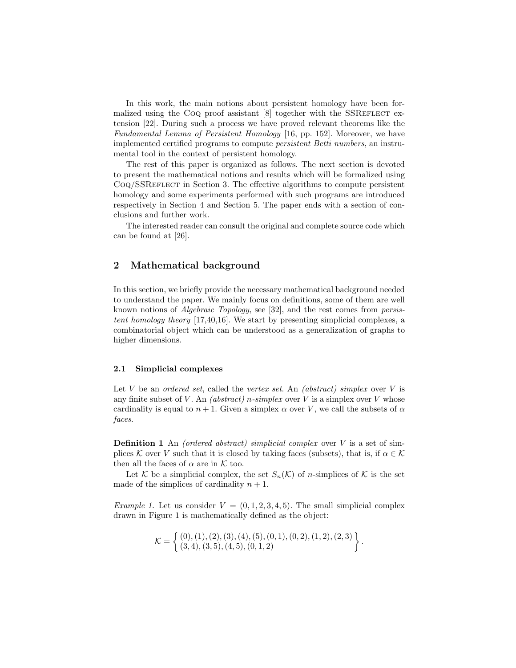In this work, the main notions about persistent homology have been formalized using the CoQ proof assistant  $[8]$  together with the SSREFLECT extension [\[22\]](#page-17-6). During such a process we have proved relevant theorems like the Fundamental Lemma of Persistent Homology [\[16,](#page-17-7) pp. 152]. Moreover, we have implemented certified programs to compute persistent Betti numbers, an instrumental tool in the context of persistent homology.

The rest of this paper is organized as follows. The next section is devoted to present the mathematical notions and results which will be formalized using Coq/SSREFLECT in Section [3.](#page-7-0) The effective algorithms to compute persistent homology and some experiments performed with such programs are introduced respectively in Section [4](#page-11-0) and Section [5.](#page-13-0) The paper ends with a section of conclusions and further work.

The interested reader can consult the original and complete source code which can be found at [\[26\]](#page-17-8).

## 2 Mathematical background

In this section, we briefly provide the necessary mathematical background needed to understand the paper. We mainly focus on definitions, some of them are well known notions of Algebraic Topology, see [\[32\]](#page-18-2), and the rest comes from persistent homology theory [\[17](#page-17-9)[,40](#page-18-3)[,16\]](#page-17-7). We start by presenting simplicial complexes, a combinatorial object which can be understood as a generalization of graphs to higher dimensions.

#### <span id="page-1-0"></span>2.1 Simplicial complexes

Let V be an ordered set, called the vertex set. An (abstract) simplex over V is any finite subset of V. An *(abstract) n*-simplex over V is a simplex over V whose cardinality is equal to  $n + 1$ . Given a simplex  $\alpha$  over V, we call the subsets of  $\alpha$ faces.

**Definition 1** An *(ordered abstract)* simplicial complex over  $V$  is a set of simplices K over V such that it is closed by taking faces (subsets), that is, if  $\alpha \in \mathcal{K}$ then all the faces of  $\alpha$  are in  $K$  too.

Let K be a simplicial complex, the set  $S_n(\mathcal{K})$  of n-simplices of K is the set made of the simplices of cardinality  $n + 1$ .

*Example 1.* Let us consider  $V = (0, 1, 2, 3, 4, 5)$ . The small simplicial complex drawn in Figure [1](#page-2-0) is mathematically defined as the object:

$$
\mathcal{K} = \left\{ \begin{array}{l} (0), (1), (2), (3), (4), (5), (0, 1), (0, 2), (1, 2), (2, 3) \\ (3, 4), (3, 5), (4, 5), (0, 1, 2) \end{array} \right\}.
$$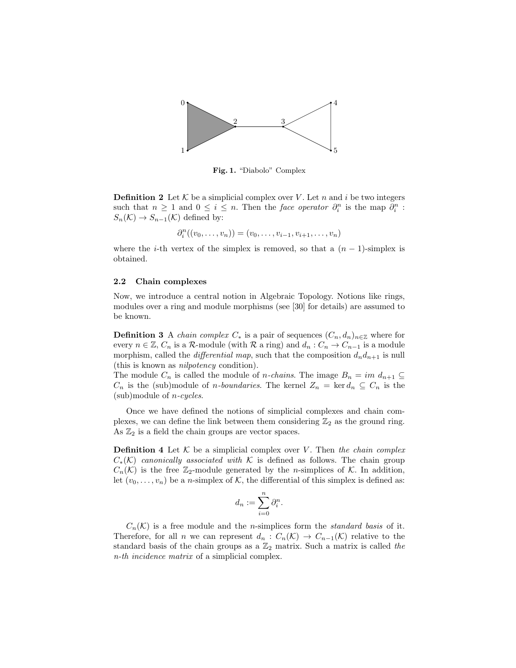

<span id="page-2-0"></span>Fig. 1. "Diabolo" Complex

**Definition 2** Let K be a simplicial complex over V. Let n and i be two integers such that  $n \geq 1$  and  $0 \leq i \leq n$ . Then the *face operator*  $\partial_i^n$  is the map  $\partial_i^n$ :  $S_n(\mathcal{K}) \to S_{n-1}(\mathcal{K})$  defined by:

$$
\partial_i^n((v_0,\ldots,v_n))=(v_0,\ldots,v_{i-1},v_{i+1},\ldots,v_n)
$$

where the *i*-th vertex of the simplex is removed, so that a  $(n - 1)$ -simplex is obtained.

#### <span id="page-2-1"></span>2.2 Chain complexes

Now, we introduce a central notion in Algebraic Topology. Notions like rings, modules over a ring and module morphisms (see [\[30\]](#page-18-4) for details) are assumed to be known.

<span id="page-2-2"></span>**Definition 3** A *chain complex*  $C_*$  is a pair of sequences  $(C_n, d_n)_{n \in \mathbb{Z}}$  where for every  $n \in \mathbb{Z}$ ,  $C_n$  is a R-module (with R a ring) and  $d_n : C_n \to C_{n-1}$  is a module morphism, called the *differential map*, such that the composition  $d_n d_{n+1}$  is null (this is known as nilpotency condition).

The module  $C_n$  is called the module of *n*-chains. The image  $B_n = im \, d_{n+1} \subseteq$  $C_n$  is the (sub)module of *n*-boundaries. The kernel  $Z_n = \text{ker } d_n \subseteq C_n$  is the (sub)module of n-cycles.

Once we have defined the notions of simplicial complexes and chain complexes, we can define the link between them considering  $\mathbb{Z}_2$  as the ground ring. As  $\mathbb{Z}_2$  is a field the chain groups are vector spaces.

**Definition 4** Let  $K$  be a simplicial complex over V. Then the chain complex  $C_*(\mathcal{K})$  canonically associated with  $\mathcal K$  is defined as follows. The chain group  $C_n(\mathcal{K})$  is the free  $\mathbb{Z}_2$ -module generated by the *n*-simplices of  $\mathcal{K}$ . In addition, let  $(v_0, \ldots, v_n)$  be a *n*-simplex of K, the differential of this simplex is defined as:

$$
d_n := \sum_{i=0}^n \partial_i^n.
$$

 $C_n(\mathcal{K})$  is a free module and the *n*-simplices form the *standard basis* of it. Therefore, for all n we can represent  $d_n: C_n(\mathcal{K}) \to C_{n-1}(\mathcal{K})$  relative to the standard basis of the chain groups as a  $\mathbb{Z}_2$  matrix. Such a matrix is called the n-th incidence matrix of a simplicial complex.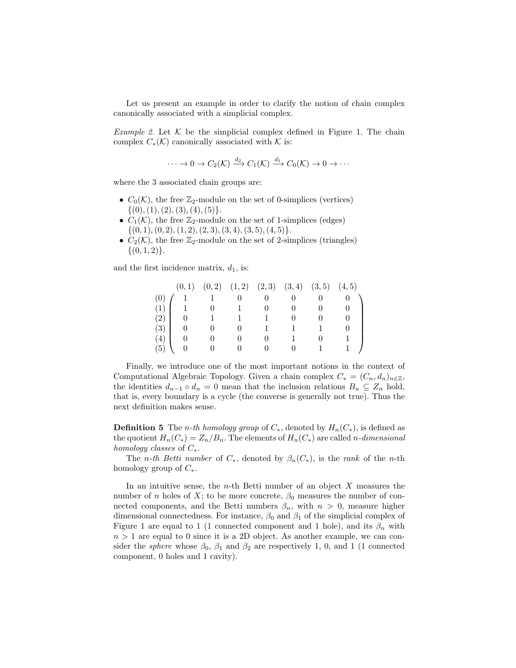Let us present an example in order to clarify the notion of chain complex canonically associated with a simplicial complex.

*Example 2.* Let  $K$  be the simplicial complex defined in Figure [1.](#page-2-0) The chain complex  $C_*(\mathcal{K})$  canonically associated with  $\mathcal{K}$  is:

$$
\cdots \to 0 \to C_2(\mathcal{K}) \xrightarrow{d_2} C_1(\mathcal{K}) \xrightarrow{d_1} C_0(\mathcal{K}) \to 0 \to \cdots
$$

where the 3 associated chain groups are:

- $C_0(\mathcal{K})$ , the free  $\mathbb{Z}_2$ -module on the set of 0-simplices (vertices)  $\{(0), (1), (2), (3), (4), (5)\}.$
- $C_1(\mathcal{K})$ , the free  $\mathbb{Z}_2$ -module on the set of 1-simplices (edges)  $\{(0, 1), (0, 2), (1, 2), (2, 3), (3, 4), (3, 5), (4, 5)\}.$
- $C_2(\mathcal{K})$ , the free  $\mathbb{Z}_2$ -module on the set of 2-simplices (triangles)  $\{(0,1,2)\}.$

and the first incidence matrix,  $d_1$ , is:

|     |             | $(0,1)$ $(0,2)$ $(1,2)$ $(2,3)$ $(3,4)$ $(3,5)$ $(4,5)$ |                       |              |                                        |  |
|-----|-------------|---------------------------------------------------------|-----------------------|--------------|----------------------------------------|--|
|     |             |                                                         |                       | 0            |                                        |  |
|     | $(1)$ 1 0 1 |                                                         |                       | 0            |                                        |  |
| (2) |             | $0 \qquad 1 \qquad 1$                                   |                       | 0            |                                        |  |
| (3) | 0           |                                                         | $0 \qquad 0 \qquad 1$ | $\sim$ 1     | $\begin{array}{ccc} & 1 & \end{array}$ |  |
| (4) |             |                                                         |                       | $\mathbf{1}$ |                                        |  |
| (5) |             | $\overline{0}$                                          |                       | 0            | $\begin{array}{ccc} & 1 \end{array}$   |  |

Finally, we introduce one of the most important notions in the context of Computational Algebraic Topology. Given a chain complex  $C_* = (C_n, d_n)_{n \in \mathbb{Z}}$ , the identities  $d_{n-1} \circ d_n = 0$  mean that the inclusion relations  $B_n \subseteq Z_n$  hold, that is, every boundary is a cycle (the converse is generally not true). Thus the next definition makes sense.

**Definition 5** The *n*-th homology group of  $C_*$ , denoted by  $H_n(C_*)$ , is defined as the quotient  $H_n(C_*) = Z_n/B_n$ . The elements of  $H_n(C_*)$  are called n-dimensional homology classes of  $C_*$ .

The *n-th Betti number* of  $C_*$ , denoted by  $\beta_n(C_*)$ , is the *rank* of the *n*-th homology group of  $C_*$ .

In an intuitive sense, the *n*-th Betti number of an object  $X$  measures the number of n holes of X; to be more concrete,  $\beta_0$  measures the number of connected components, and the Betti numbers  $\beta_n$ , with  $n > 0$ , measure higher dimensional connectedness. For instance,  $\beta_0$  and  $\beta_1$  of the simplicial complex of Figure [1](#page-2-0) are equal to 1 (1 connected component and 1 hole), and its  $\beta_n$  with  $n > 1$  are equal to 0 since it is a 2D object. As another example, we can consider the *sphere* whose  $\beta_0$ ,  $\beta_1$  and  $\beta_2$  are respectively 1, 0, and 1 (1 connected component, 0 holes and 1 cavity).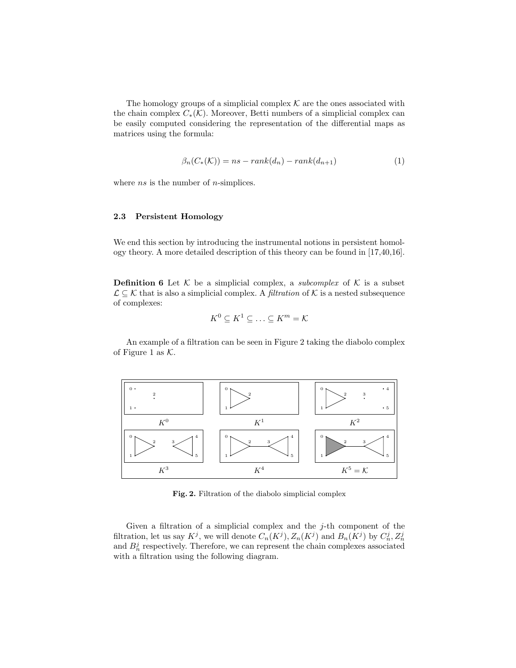<span id="page-4-2"></span>The homology groups of a simplicial complex  ${\mathcal K}$  are the ones associated with the chain complex  $C_*(\mathcal{K})$ . Moreover, Betti numbers of a simplicial complex can be easily computed considering the representation of the differential maps as matrices using the formula:

$$
\beta_n(C_*(\mathcal{K})) = ns - rank(d_n) - rank(d_{n+1}) \tag{1}
$$

where  $ns$  is the number of  $n$ -simplices.

#### <span id="page-4-1"></span>2.3 Persistent Homology

We end this section by introducing the instrumental notions in persistent homology theory. A more detailed description of this theory can be found in [\[17,](#page-17-9)[40,](#page-18-3)[16\]](#page-17-7).

**Definition 6** Let  $K$  be a simplicial complex, a *subcomplex* of  $K$  is a subset  $\mathcal{L} \subseteq \mathcal{K}$  that is also a simplicial complex. A *filtration* of  $\mathcal{K}$  is a nested subsequence of complexes:

$$
K^0 \subseteq K^1 \subseteq \ldots \subseteq K^m = \mathcal{K}
$$

An example of a filtration can be seen in Figure [2](#page-4-0) taking the diabolo complex of Figure [1](#page-2-0) as  $K$ .



<span id="page-4-0"></span>Fig. 2. Filtration of the diabolo simplicial complex

Given a filtration of a simplicial complex and the  $j$ -th component of the filtration, let us say  $K^j$ , we will denote  $C_n(K^j)$ ,  $Z_n(K^j)$  and  $B_n(K^j)$  by  $C_n^j$ ,  $Z_n^j$ and  $B_n^j$  respectively. Therefore, we can represent the chain complexes associated with a filtration using the following diagram.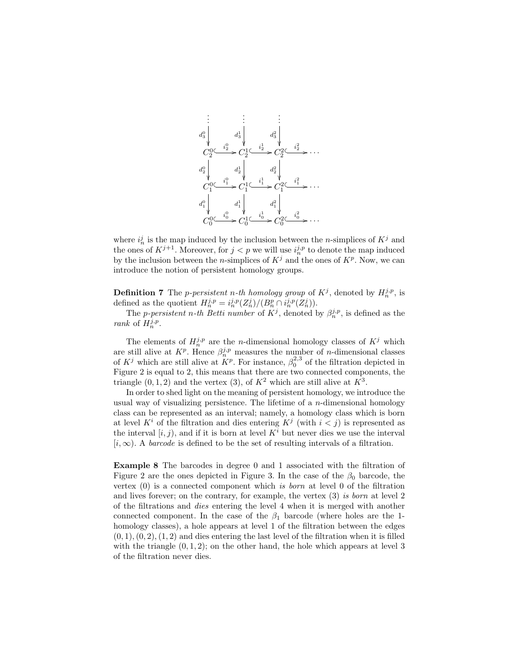

where  $i_n^j$  is the map induced by the inclusion between the *n*-simplices of  $K^j$  and the ones of  $K^{j+1}$ . Moreover, for  $j < p$  we will use  $i_n^{j,p}$  to denote the map induced by the inclusion between the *n*-simplices of  $K^j$  and the ones of  $K^p$ . Now, we can introduce the notion of persistent homology groups.

**Definition 7** The *p*-persistent *n*-th homology group of  $K^j$ , denoted by  $H_n^{j,p}$ , is defined as the quotient  $H_n^{j,p} = i_n^{j,p} (Z_n^j)/(B_n^p \cap i_n^{j,p}(Z_n^j)).$ 

The *p*-persistent *n*-th Betti number of  $K^j$ , denoted by  $\beta_n^{j,p}$ , is defined as the rank of  $H_n^{j,p}$ .

The elements of  $H_n^{j,p}$  are the *n*-dimensional homology classes of  $K^j$  which are still alive at  $K^p$ . Hence  $\beta_n^{j,p}$  measures the number of *n*-dimensional classes of  $K^j$  which are still alive at  $\overset{\circ}{K}{}^p$ . For instance,  $\beta_0^{2,3}$  of the filtration depicted in Figure [2](#page-4-0) is equal to 2, this means that there are two connected components, the triangle  $(0, 1, 2)$  and the vertex  $(3)$ , of  $K^2$  which are still alive at  $K^3$ .

In order to shed light on the meaning of persistent homology, we introduce the usual way of visualizing persistence. The lifetime of a  $n$ -dimensional homology class can be represented as an interval; namely, a homology class which is born at level  $K^i$  of the filtration and dies entering  $K^j$  (with  $i < j$ ) is represented as the interval  $[i, j)$ , and if it is born at level  $K<sup>i</sup>$  but never dies we use the interval  $[i, \infty)$ . A barcode is defined to be the set of resulting intervals of a filtration.

Example 8 The barcodes in degree 0 and 1 associated with the filtration of Figure [2](#page-4-0) are the ones depicted in Figure [3.](#page-6-0) In the case of the  $\beta_0$  barcode, the vertex  $(0)$  is a connected component which is *born* at level 0 of the filtration and lives forever; on the contrary, for example, the vertex (3) is born at level 2 of the filtrations and dies entering the level 4 when it is merged with another connected component. In the case of the  $\beta_1$  barcode (where holes are the 1homology classes), a hole appears at level 1 of the filtration between the edges  $(0, 1), (0, 2), (1, 2)$  and dies entering the last level of the filtration when it is filled with the triangle  $(0, 1, 2)$ ; on the other hand, the hole which appears at level 3 of the filtration never dies.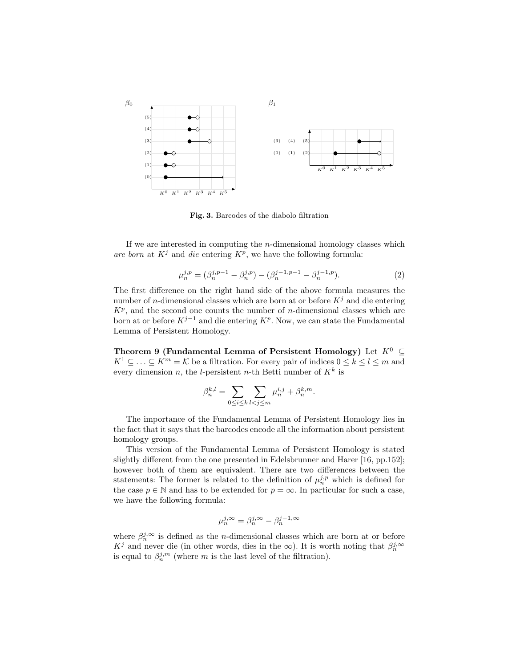

<span id="page-6-0"></span>Fig. 3. Barcodes of the diabolo filtration

<span id="page-6-2"></span>If we are interested in computing the  $n$ -dimensional homology classes which are born at  $K^j$  and die entering  $K^p$ , we have the following formula:

$$
\mu_n^{j,p} = (\beta_n^{j,p-1} - \beta_n^{j,p}) - (\beta_n^{j-1,p-1} - \beta_n^{j-1,p}).
$$
\n(2)

The first difference on the right hand side of the above formula measures the number of *n*-dimensional classes which are born at or before  $K<sup>j</sup>$  and die entering  $K^p$ , and the second one counts the number of *n*-dimensional classes which are born at or before  $K^{j-1}$  and die entering  $K^p$ . Now, we can state the Fundamental Lemma of Persistent Homology.

<span id="page-6-1"></span>Theorem 9 (Fundamental Lemma of Persistent Homology) Let  $K^0 \subseteq$  $K^1 \subseteq \ldots \subseteq K^m = \mathcal{K}$  be a filtration. For every pair of indices  $0 \leq k \leq l \leq m$  and every dimension n, the l-persistent n-th Betti number of  $K^k$  is

$$
\beta_n^{k,l} = \sum_{0 \le i \le k} \sum_{l < j \le m} \mu_n^{i,j} + \beta_n^{k,m}.
$$

The importance of the Fundamental Lemma of Persistent Homology lies in the fact that it says that the barcodes encode all the information about persistent homology groups.

This version of the Fundamental Lemma of Persistent Homology is stated slightly different from the one presented in Edelsbrunner and Harer [\[16,](#page-17-7) pp.152]; however both of them are equivalent. There are two differences between the statements: The former is related to the definition of  $\mu_n^{j,p}$  which is defined for the case  $p \in \mathbb{N}$  and has to be extended for  $p = \infty$ . In particular for such a case, we have the following formula:

$$
u_n^{j,\infty} = \beta_n^{j,\infty} - \beta_n^{j-1,\infty}
$$

µ

where  $\beta_n^{j,\infty}$  is defined as the *n*-dimensional classes which are born at or before  $K^j$  and never die (in other words, dies in the  $\infty$ ). It is worth noting that  $\beta_n^{j,\infty}$ is equal to  $\beta_n^{j,m}$  (where m is the last level of the filtration).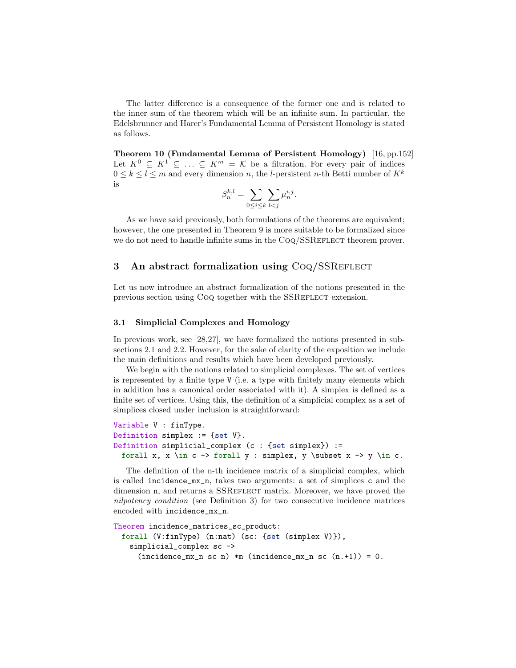The latter difference is a consequence of the former one and is related to the inner sum of the theorem which will be an infinite sum. In particular, the Edelsbrunner and Harer's Fundamental Lemma of Persistent Homology is stated as follows.

Theorem 10 (Fundamental Lemma of Persistent Homology) [\[16,](#page-17-7) pp.152] Let  $K^0 \subseteq K^1 \subseteq \ldots \subseteq K^m = \mathcal{K}$  be a filtration. For every pair of indices  $0 \leq k \leq l \leq m$  and every dimension n, the l-persistent n-th Betti number of  $K^k$ is

$$
\beta_n^{k,l} = \sum_{0 \le i \le k} \sum_{l < j} \mu_n^{i,j}.
$$

As we have said previously, both formulations of the theorems are equivalent; however, the one presented in Theorem [9](#page-6-1) is more suitable to be formalized since we do not need to handle infinite sums in the COQ/SSREFLECT theorem prover.

## <span id="page-7-0"></span>3 An abstract formalization using CoQ/SSREFLECT

Let us now introduce an abstract formalization of the notions presented in the previous section using CoQ together with the SSREFLECT extension.

#### 3.1 Simplicial Complexes and Homology

In previous work, see [\[28,](#page-17-10)[27\]](#page-17-11), we have formalized the notions presented in subsections [2.1](#page-1-0) and [2.2.](#page-2-1) However, for the sake of clarity of the exposition we include the main definitions and results which have been developed previously.

We begin with the notions related to simplicial complexes. The set of vertices is represented by a finite type V (i.e. a type with finitely many elements which in addition has a canonical order associated with it). A simplex is defined as a finite set of vertices. Using this, the definition of a simplicial complex as a set of simplices closed under inclusion is straightforward:

```
Variable V : finType.
Definition simplex := {set V}.
Definition simplicial_complex (c : {set simplex}) :=
 forall x, x \in c -> forall y : simplex, y \subset x -> y \in c.
```
The definition of the n-th incidence matrix of a simplicial complex, which is called incidence\_mx\_n, takes two arguments: a set of simplices c and the dimension n, and returns a SSREFLECT matrix. Moreover, we have proved the nilpotency condition (see Definition [3\)](#page-2-2) for two consecutive incidence matrices encoded with incidence\_mx\_n.

```
Theorem incidence_matrices_sc_product:
 forall (V:finType) (n:nat) (sc: {set (simplex V)}),
   simplicial_complex sc ->
     (incidence_mx_n sc n) *m (incidence_mx_n sc (n.+1)) = 0.
```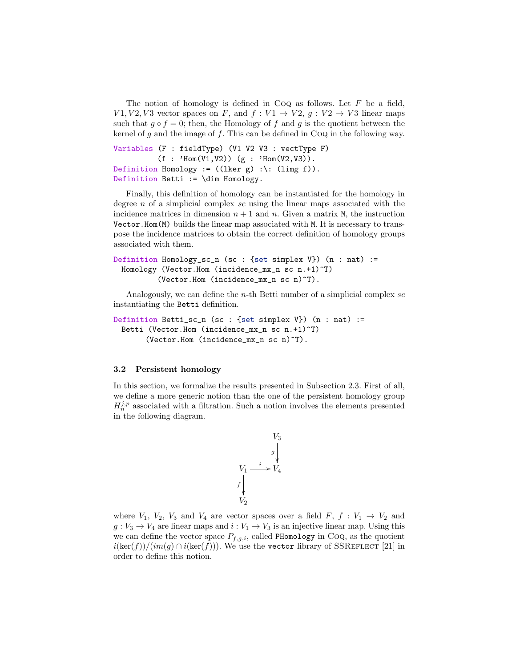The notion of homology is defined in  $COQ$  as follows. Let F be a field,  $V1, V2, V3$  vector spaces on F, and  $f: V1 \rightarrow V2, g: V2 \rightarrow V3$  linear maps such that  $g \circ f = 0$ ; then, the Homology of f and g is the quotient between the kernel of g and the image of f. This can be defined in  $CoQ$  in the following way.

```
Variables (F : fieldType) (V1 V2 V3 : vectType F)
           (f : 'Hom(V1,V2)) (g : 'Hom(V2,V3)).Definition Homology := ((\text{lker } g) : \&\text{: (limg f)}).Definition Betti := \dim Homology.
```
Finally, this definition of homology can be instantiated for the homology in degree n of a simplicial complex sc using the linear maps associated with the incidence matrices in dimension  $n + 1$  and n. Given a matrix  $M$ , the instruction Vector.Hom(M) builds the linear map associated with M. It is necessary to transpose the incidence matrices to obtain the correct definition of homology groups associated with them.

```
Definition Homology_sc_n (sc : {set simplex V}) (n : nat) :=
 Homology (Vector.Hom (incidence_mx_n sc n.+1)^T)
          (Vector.Hom (incidence_mx_n sc n)^T).
```
Analogously, we can define the n-th Betti number of a simplicial complex sc instantiating the Betti definition.

```
Definition Betti_sc_n (sc : {set simplex V}) (n : nat) :=
 Betti (Vector.Hom (incidence_mx_n sc n.+1)^T)
       (Vector.Hom (incidence_mx_n sc n)^T).
```
#### 3.2 Persistent homology

In this section, we formalize the results presented in Subsection [2.3.](#page-4-1) First of all, we define a more generic notion than the one of the persistent homology group  $H_n^{j,p}$  associated with a filtration. Such a notion involves the elements presented in the following diagram.

$$
V_3
$$
\n
$$
V_1 \xrightarrow{i} V_4
$$
\n
$$
f \downarrow \qquad V_2
$$

where  $V_1$ ,  $V_2$ ,  $V_3$  and  $V_4$  are vector spaces over a field  $F$ ,  $f : V_1 \rightarrow V_2$  and  $g: V_3 \to V_4$  are linear maps and  $i: V_1 \to V_3$  is an injective linear map. Using this we can define the vector space  $P_{f,g,i}$ , called PHomology in CoQ, as the quotient  $i(\ker(f))/(im(g) \cap i(\ker(f)))$ . We use the vector library of SSREFLECT [\[21\]](#page-17-12) in order to define this notion.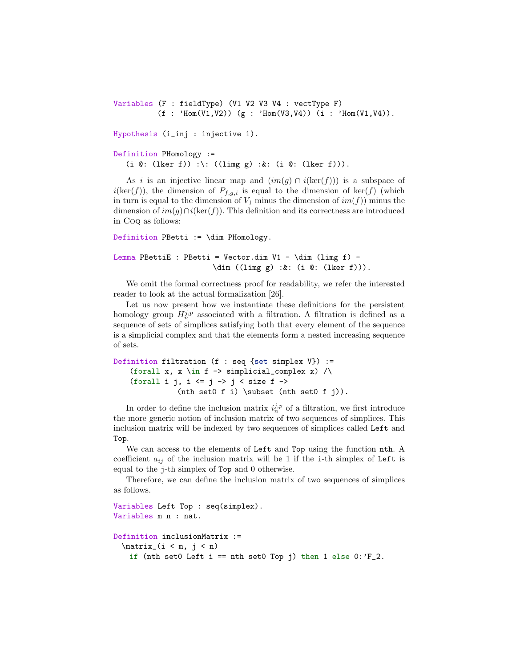```
Variables (F : fieldType) (V1 V2 V3 V4 : vectType F)
          (f : 'Hom(V1,V2)) (g : 'Hom(V3,V4)) (i : 'Hom(V1,V4)).
Hypothesis (i_inj : injective i).
```

```
Definition PHomology :=
  (i @: (lker f)) :\: ((limg g) :&: (i @: (lker f))).
```
As i is an injective linear map and  $(im(g) \cap i(ker(f)))$  is a subspace of  $i(\ker(f))$ , the dimension of  $P_{f,g,i}$  is equal to the dimension of  $\ker(f)$  (which in turn is equal to the dimension of  $V_1$  minus the dimension of  $im(f)$  minus the dimension of  $im(g) \cap i(\ker(f))$ . This definition and its correctness are introduced in Coq as follows:

```
Definition PBetti := \dim PHomology.
Lemma PBettiE : PBetti = Vector.dim V1 - \dim (limg f) -
                      \dim ((limg g) :&: (i @: (lker f))).
```
We omit the formal correctness proof for readability, we refer the interested reader to look at the actual formalization [\[26\]](#page-17-8).

Let us now present how we instantiate these definitions for the persistent homology group  $H_n^{j,p}$  associated with a filtration. A filtration is defined as a sequence of sets of simplices satisfying both that every element of the sequence is a simplicial complex and that the elements form a nested increasing sequence of sets.

```
Definition filtration (f : seq {set simplex V}) :=
    (forall x, x \in f -> simplicial_complex x) \land(forall i j, i \le j \to j \le size f \Rightarrow(nth set0 f i) \subset (nth set0 f j)).
```
In order to define the inclusion matrix  $i_n^{j,p}$  of a filtration, we first introduce the more generic notion of inclusion matrix of two sequences of simplices. This inclusion matrix will be indexed by two sequences of simplices called Left and Top.

We can access to the elements of Left and Top using the function nth. A coefficient  $a_{ij}$  of the inclusion matrix will be 1 if the i-th simplex of Left is equal to the j-th simplex of Top and 0 otherwise.

Therefore, we can define the inclusion matrix of two sequences of simplices as follows.

```
Variables Left Top : seq(simplex).
Variables m n : nat.
Definition inclusionMatrix :=
 \matrix (i < m, j < n)if (nth set0 Left i == nth set0 Top j) then 1 else 0: 'F<sub>-2</sub>.
```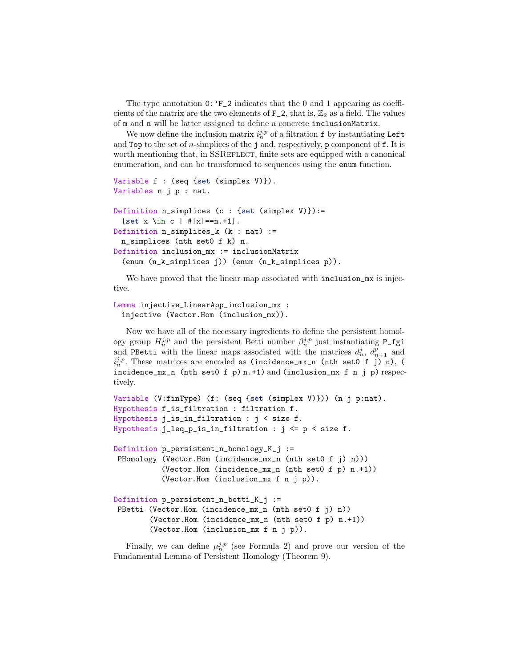The type annotation  $0: F_2$  indicates that the 0 and 1 appearing as coefficients of the matrix are the two elements of  $F_2$ , that is,  $\mathbb{Z}_2$  as a field. The values of m and n will be latter assigned to define a concrete inclusionMatrix.

We now define the inclusion matrix  $i_n^{j,p}$  of a filtration f by instantiating Left and Top to the set of *n*-simplices of the j and, respectively, p component of  $f$ . It is worth mentioning that, in SSREFLECT, finite sets are equipped with a canonical enumeration, and can be transformed to sequences using the enum function.

```
Variable f : (seq {set (simplex V)}).
Variables n j p : nat.
Definition n_simplices (c : {set (simplex V)}):=
  [set x \in c | #|x| = = n. + 1].
Definition n_simplices_k (k : nat) :=
 n_simplices (nth set0 f k) n.
Definition inclusion_mx := inclusionMatrix
  (enum (n_k_simplices j)) (enum (n_k_simplices p)).
```
We have proved that the linear map associated with inclusion\_mx is injective.

```
Lemma injective_LinearApp_inclusion_mx :
 injective (Vector.Hom (inclusion_mx)).
```
Now we have all of the necessary ingredients to define the persistent homology group  $H_n^{j,p}$  and the persistent Betti number  $\beta_n^{j,p}$  just instantiating P\_fgi and PBetti with the linear maps associated with the matrices  $d_n^j$ ,  $d_{n+1}^p$  and  $i_n^{j,p}$ . These matrices are encoded as (incidence\_mx\_n (nth set0 f j) n), (  $incidence_m x_n$  (nth set0 f p) n.+1) and (inclusion\_mx f n j p) respectively.

```
Variable (V:finType) (f: (seq {set (simplex V)})) (n j p:nat).
Hypothesis f_is_filtration : filtration f.
Hypothesis j_is_in_filtration : j < size f.
Hypothesis j_leq_p_is_in_filtration : j \leq p \leq size f.
Definition p_persistent_n_homology_K_j :=
PHomology (Vector.Hom (incidence_mx_n (nth set0 f j) n)))
           (Vector.Hom (incidence_mx_n (nth set0 f p) n.+1))
           (Vector.Hom (inclusion_mx f n j p)).
Definition p_persistent_n_betti_K_j :=
PBetti (Vector.Hom (incidence_mx_n (nth set0 f j) n))
        (Vector.Hom (incidence_mx_n (nth set0 f p) n.+1))
        (Vector.Hom (inclusion_mx f n j p)).
```
Finally, we can define  $\mu_n^{j,p}$  (see Formula [2\)](#page-6-2) and prove our version of the Fundamental Lemma of Persistent Homology (Theorem [9\)](#page-6-1).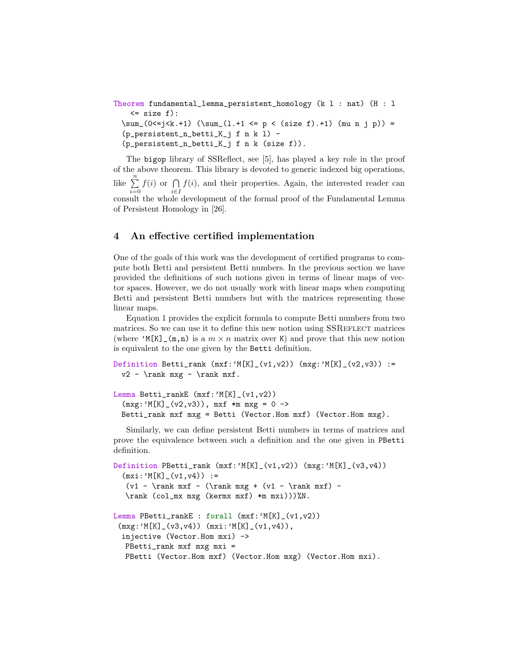```
Theorem fundamental_lemma_persistent_homology (k l : nat) (H : l
   \leq size f):
 \sum_(0<=j<k.+1) (\sum_(l.+1 <= p < (size f).+1) (mu n j p)) =
  (p_persistent_n_betti_K_j f n k l) -
  (p_persistent_n_betti_K_j f n k (size f)).
```
The bigop library of SSReflect, see [\[5\]](#page-16-0), has played a key role in the proof of the above theorem. This library is devoted to generic indexed big operations, like  $\sum_{n=1}^{\infty}$  $i=0$  $f(i)$  or  $\bigcap$ i∈I  $f(i)$ , and their properties. Again, the interested reader can consult the whole development of the formal proof of the Fundamental Lemma of Persistent Homology in [\[26\]](#page-17-8).

## <span id="page-11-0"></span>4 An effective certified implementation

One of the goals of this work was the development of certified programs to compute both Betti and persistent Betti numbers. In the previous section we have provided the definitions of such notions given in terms of linear maps of vector spaces. However, we do not usually work with linear maps when computing Betti and persistent Betti numbers but with the matrices representing those linear maps.

Equation [1](#page-4-2) provides the explicit formula to compute Betti numbers from two matrices. So we can use it to define this new notion using SSREFLECT matrices (where 'M[K]  $(\mathfrak{m},n)$  is a  $m \times n$  matrix over K) and prove that this new notion is equivalent to the one given by the Betti definition.

```
Definition Betti_rank (mxf: 'M[K]_-(v1,v2)) (mxg: 'M[K]_-(v2,v3)) :=
 v2 - \rank mxg - \rank mxf.
```

```
Lemma Betti_rankE (mxf:'M[K]_(v1,v2))
  (mxg: 'M[K] (v2,v3)), mxf *m mxg = 0 ->
 Betti_rank mxf mxg = Betti (Vector.Hom mxf) (Vector.Hom mxg).
```
Similarly, we can define persistent Betti numbers in terms of matrices and prove the equivalence between such a definition and the one given in PBetti definition.

```
Definition PBetti_rank (mxf:''N[K] (v1,v2)) (mxg:''N[K] (v3,v4))(mxi:'M[K]_{(v1,v4)) :=(v1 - \rank mxf - (\rank mxg + (v1 - \rank mxf) -\rank (col_mx mxg (kermx mxf) *m mxi)))%N.
Lemma PBetti_rankE : forall (mxf)'M[K] (v1,v2))(mxg: 'M[K]_-(v3,v4)) (mxi: 'M[K]_-(v1,v4)),injective (Vector.Hom mxi) ->
  PBetti_rank mxf mxg mxi =
  PBetti (Vector.Hom mxf) (Vector.Hom mxg) (Vector.Hom mxi).
```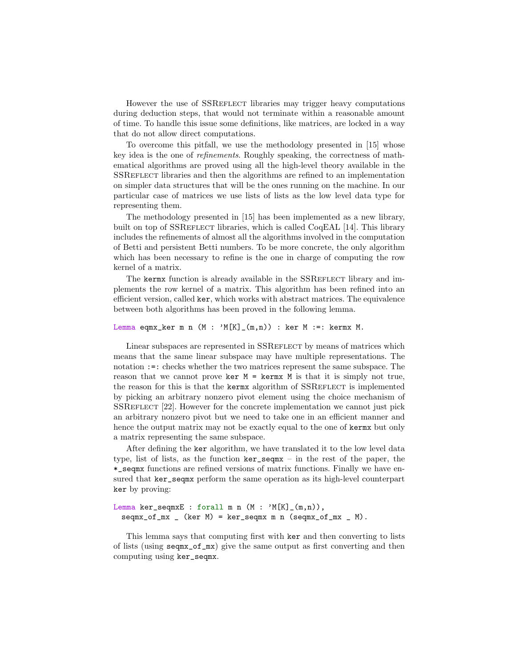However the use of SSREFLECT libraries may trigger heavy computations during deduction steps, that would not terminate within a reasonable amount of time. To handle this issue some definitions, like matrices, are locked in a way that do not allow direct computations.

To overcome this pitfall, we use the methodology presented in [\[15\]](#page-17-13) whose key idea is the one of refinements. Roughly speaking, the correctness of mathematical algorithms are proved using all the high-level theory available in the SSReflect libraries and then the algorithms are refined to an implementation on simpler data structures that will be the ones running on the machine. In our particular case of matrices we use lists of lists as the low level data type for representing them.

The methodology presented in [\[15\]](#page-17-13) has been implemented as a new library, built on top of SSREFLECT libraries, which is called CoqEAL [\[14\]](#page-17-14). This library includes the refinements of almost all the algorithms involved in the computation of Betti and persistent Betti numbers. To be more concrete, the only algorithm which has been necessary to refine is the one in charge of computing the row kernel of a matrix.

The kermx function is already available in the SSREFLECT library and implements the row kernel of a matrix. This algorithm has been refined into an efficient version, called ker, which works with abstract matrices. The equivalence between both algorithms has been proved in the following lemma.

#### Lemma eqmx\_ker m n  $(M : 'M[K]_-(m,n))$  : ker  $M :=:$  kermx  $M$ .

Linear subspaces are represented in SSREFLECT by means of matrices which means that the same linear subspace may have multiple representations. The notation :=: checks whether the two matrices represent the same subspace. The reason that we cannot prove ker  $M = \text{ker } M$  is that it is simply not true, the reason for this is that the kermx algorithm of SSREFLECT is implemented by picking an arbitrary nonzero pivot element using the choice mechanism of SSReflect [\[22\]](#page-17-6). However for the concrete implementation we cannot just pick an arbitrary nonzero pivot but we need to take one in an efficient manner and hence the output matrix may not be exactly equal to the one of kerms but only a matrix representing the same subspace.

After defining the ker algorithm, we have translated it to the low level data type, list of lists, as the function ker\_seqmx – in the rest of the paper, the \*\_seqmx functions are refined versions of matrix functions. Finally we have ensured that ker\_seqmx perform the same operation as its high-level counterpart ker by proving:

```
Lemma ker_seqmxE : forall m n (M : 'M[K]_-(m,n)),
 seqmx_of_mx (ker M) = ker_seqmx m n (seqmx_of_mx M).
```
This lemma says that computing first with ker and then converting to lists of lists (using seqmx\_of\_mx) give the same output as first converting and then computing using ker\_seqmx.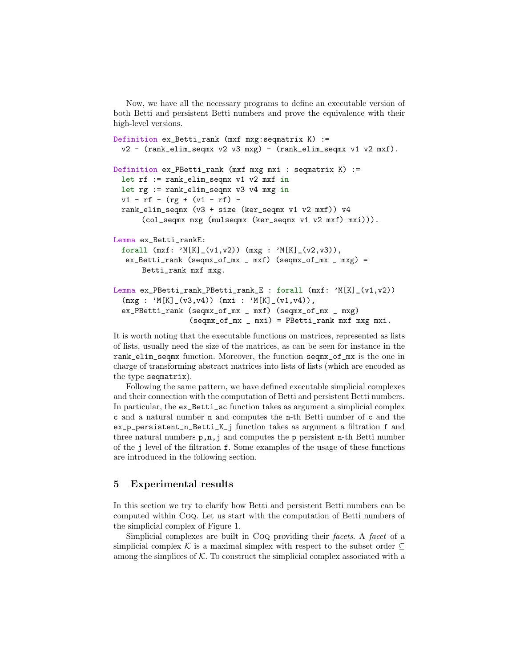Now, we have all the necessary programs to define an executable version of both Betti and persistent Betti numbers and prove the equivalence with their high-level versions.

```
Definition ex_Betti_rank (mxf mxg:seqmatrix K) :=
 v2 - (rank_elim_seqmx v2 v3 mxg) - (rank_elim_seqmx v1 v2 mxf).
Definition ex_PBetti_rank (mxf mxg mxi : seqmatrix K) :=
 let rf := rank_elim_seqmx v1 v2 mxf in
 let rg := rank_elim_seqmx v3 v4 mxg in
 v1 - rf - (rg + (v1 - rf) -rank_elim_seqmx (v3 + size (ker_seqmx v1 v2 mxf)) v4
      (col_seqmx mxg (mulseqmx (ker_seqmx v1 v2 mxf) mxi))).
Lemma ex_Betti_rankE:
 forall (mxf: 'M[K]_-(v1,v2)) (mxg : 'M[K]_-(v2,v3)),
  ex_{B}Betti_rank (seqmx_of_mx _ mxf) (seqmx_of_mx _ mxg) =
      Betti_rank mxf mxg.
Lemma ex_PBetti_rank_PBetti_rank_E : forall (mxf: 'M[K]_(v1,v2))
  (mxg : 'M[K]_-(v3,v4)) (mxi : 'M[K]_-(v1,v4)),ex_PBetti_rank (seqmx_of_mx _ mxf) (seqmx_of_mx _ mxg)
                 (seqmx_of_mx _ mxi) = PBetti_rank mxf mxg mxi.
```
It is worth noting that the executable functions on matrices, represented as lists of lists, usually need the size of the matrices, as can be seen for instance in the rank\_elim\_seqmx function. Moreover, the function seqmx\_of\_mx is the one in charge of transforming abstract matrices into lists of lists (which are encoded as the type seqmatrix).

Following the same pattern, we have defined executable simplicial complexes and their connection with the computation of Betti and persistent Betti numbers. In particular, the ex\_Betti\_sc function takes as argument a simplicial complex c and a natural number n and computes the n-th Betti number of c and the ex\_p\_persistent\_n\_Betti\_K\_j function takes as argument a filtration f and three natural numbers  $p, n, j$  and computes the p persistent n-th Betti number of the j level of the filtration f. Some examples of the usage of these functions are introduced in the following section.

# <span id="page-13-0"></span>5 Experimental results

In this section we try to clarify how Betti and persistent Betti numbers can be computed within Coq. Let us start with the computation of Betti numbers of the simplicial complex of Figure [1.](#page-2-0)

Simplicial complexes are built in Coq providing their facets. A facet of a simplicial complex K is a maximal simplex with respect to the subset order  $\subseteq$ among the simplices of  $K$ . To construct the simplicial complex associated with a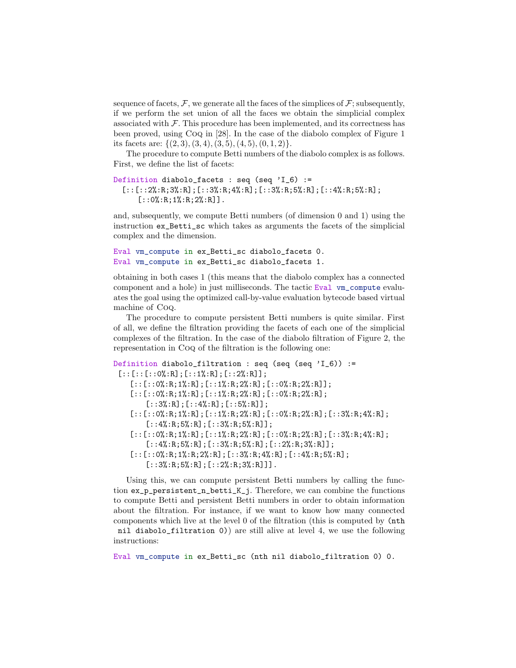sequence of facets,  $\mathcal{F}$ , we generate all the faces of the simplices of  $\mathcal{F}$ ; subsequently, if we perform the set union of all the faces we obtain the simplicial complex associated with  $\mathcal F$ . This procedure has been implemented, and its correctness has been proved, using Coq in [\[28\]](#page-17-10). In the case of the diabolo complex of Figure [1](#page-2-0) its facets are:  $\{(2,3), (3,4), (3,5), (4,5), (0,1,2)\}.$ 

The procedure to compute Betti numbers of the diabolo complex is as follows. First, we define the list of facets:

```
Definition diabolo_facets : seq (seq 'I_6) :=
  [::[::2", R;3", R]; [::3", R;4", R]; [::3", R;5", R]; [::4", R;5", R];[::0%;R;1%;R;2%;R]].
```
and, subsequently, we compute Betti numbers (of dimension 0 and 1) using the instruction ex\_Betti\_sc which takes as arguments the facets of the simplicial complex and the dimension.

```
Eval vm_compute in ex_Betti_sc diabolo_facets 0.
Eval vm_compute in ex_Betti_sc diabolo_facets 1.
```
obtaining in both cases 1 (this means that the diabolo complex has a connected component and a hole) in just milliseconds. The tactic Eval vm\_compute evaluates the goal using the optimized call-by-value evaluation bytecode based virtual machine of Coq.

The procedure to compute persistent Betti numbers is quite similar. First of all, we define the filtration providing the facets of each one of the simplicial complexes of the filtration. In the case of the diabolo filtration of Figure [2,](#page-4-0) the representation in Coq of the filtration is the following one:

```
Definition diabolo_filtration : seq (seq (seq 'I_6)) :=
 [::[::[::0%:\mathbb{R}];[::1%:\mathbb{R}];[::2%:\mathbb{R}]];
    [::[::0", R;1", R]; [::1", R;2", R]; [::0", R;2", R]];[::[::0", R;1", R]; [::1", R;2", R]; [::0", R;2", R];[::3%:R];[::4%:R];[::5%:R]];[::[::0", R;1", R];[::1", R;2", R];[::0", R;2", R];[::3", R;4",R];[::4%:R;5%:R];[::3%:R;5%:R]];[::[::0", R;1", R];[::1", R;2", R];[::0", R;2", R];[::3", R;4",R];[::4%;R;5%;R];[::3%;R;5%;R];[::2%;R;3";R;R][::[::0", R;1", R;2", R];[::3", R;4", R];[::4", R;5", R];[::3%:R;5%:R];[::2%:R;3%:R]].
   Using this, we can compute persistent Betti numbers by calling the func-
```
tion ex\_p\_persistent\_n\_betti\_K\_j. Therefore, we can combine the functions to compute Betti and persistent Betti numbers in order to obtain information about the filtration. For instance, if we want to know how many connected components which live at the level 0 of the filtration (this is computed by (nth nil diabolo\_filtration 0)) are still alive at level 4, we use the following instructions:

Eval vm\_compute in ex\_Betti\_sc (nth nil diabolo\_filtration 0) 0.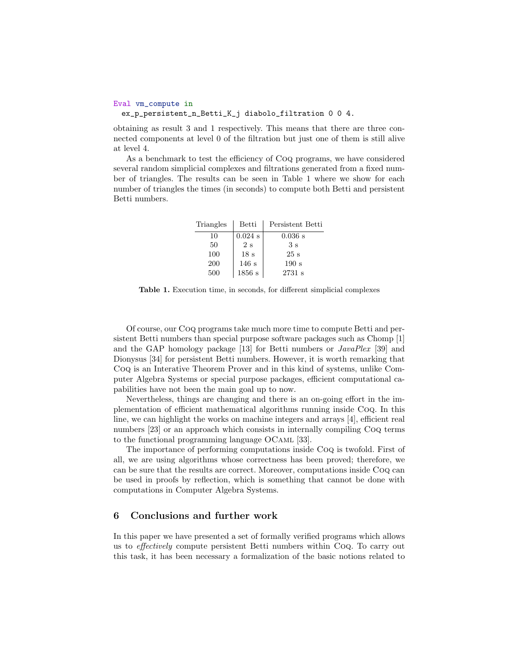```
Eval vm_compute in
 ex_p_persistent_n_Betti_K_j diabolo_filtration 0 0 4.
```
obtaining as result 3 and 1 respectively. This means that there are three connected components at level 0 of the filtration but just one of them is still alive at level 4.

As a benchmark to test the efficiency of Coq programs, we have considered several random simplicial complexes and filtrations generated from a fixed number of triangles. The results can be seen in Table [1](#page-15-0) where we show for each number of triangles the times (in seconds) to compute both Betti and persistent Betti numbers.

| Triangles | Betti           | Persistent Betti |
|-----------|-----------------|------------------|
| 10        | $0.024$ s       | $0.036$ s        |
| 50        | 2s              | 3s               |
| 100       | 18 <sub>s</sub> | 25 s             |
| 200       | 146s            | 190 s            |
| 500       | 1856s           | 2731 s           |

<span id="page-15-0"></span>Table 1. Execution time, in seconds, for different simplicial complexes

Of course, our Coq programs take much more time to compute Betti and persistent Betti numbers than special purpose software packages such as Chomp [\[1\]](#page-16-1) and the GAP homology package [\[13\]](#page-17-15) for Betti numbers or JavaPlex [\[39\]](#page-18-5) and Dionysus [\[34\]](#page-18-6) for persistent Betti numbers. However, it is worth remarking that Coq is an Interative Theorem Prover and in this kind of systems, unlike Computer Algebra Systems or special purpose packages, efficient computational capabilities have not been the main goal up to now.

Nevertheless, things are changing and there is an on-going effort in the implementation of efficient mathematical algorithms running inside Coq. In this line, we can highlight the works on machine integers and arrays [\[4\]](#page-16-2), efficient real numbers [\[23\]](#page-17-16) or an approach which consists in internally compiling Coq terms to the functional programming language OCaml [\[33\]](#page-18-7).

The importance of performing computations inside Coq is twofold. First of all, we are using algorithms whose correctness has been proved; therefore, we can be sure that the results are correct. Moreover, computations inside Coq can be used in proofs by reflection, which is something that cannot be done with computations in Computer Algebra Systems.

## 6 Conclusions and further work

In this paper we have presented a set of formally verified programs which allows us to effectively compute persistent Betti numbers within Coq. To carry out this task, it has been necessary a formalization of the basic notions related to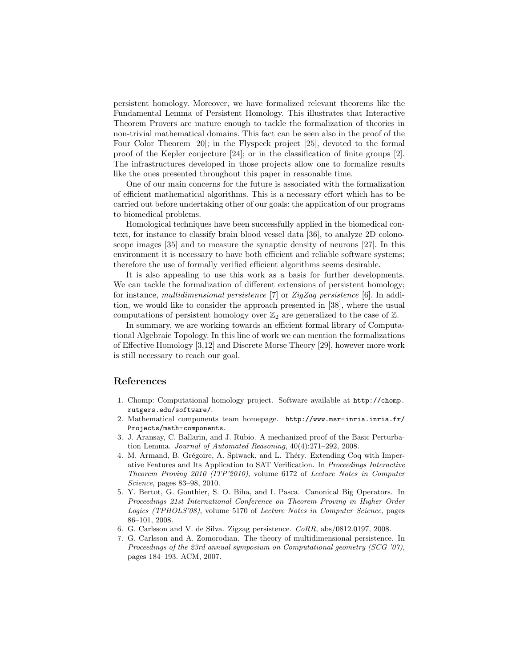persistent homology. Moreover, we have formalized relevant theorems like the Fundamental Lemma of Persistent Homology. This illustrates that Interactive Theorem Provers are mature enough to tackle the formalization of theories in non-trivial mathematical domains. This fact can be seen also in the proof of the Four Color Theorem [\[20\]](#page-17-17); in the Flyspeck project [\[25\]](#page-17-18), devoted to the formal proof of the Kepler conjecture [\[24\]](#page-17-19); or in the classification of finite groups [\[2\]](#page-16-3). The infrastructures developed in those projects allow one to formalize results like the ones presented throughout this paper in reasonable time.

One of our main concerns for the future is associated with the formalization of efficient mathematical algorithms. This is a necessary effort which has to be carried out before undertaking other of our goals: the application of our programs to biomedical problems.

Homological techniques have been successfully applied in the biomedical context, for instance to classify brain blood vessel data [\[36\]](#page-18-8), to analyze 2D colonoscope images [\[35\]](#page-18-9) and to measure the synaptic density of neurons [\[27\]](#page-17-11). In this environment it is necessary to have both efficient and reliable software systems; therefore the use of formally verified efficient algorithms seems desirable.

It is also appealing to use this work as a basis for further developments. We can tackle the formalization of different extensions of persistent homology; for instance, multidimensional persistence  $|7|$  or ZigZag persistence  $|6|$ . In addition, we would like to consider the approach presented in [\[38\]](#page-18-10), where the usual computations of persistent homology over  $\mathbb{Z}_2$  are generalized to the case of  $\mathbb{Z}$ .

In summary, we are working towards an efficient formal library of Computational Algebraic Topology. In this line of work we can mention the formalizations of Effective Homology [\[3,](#page-16-6)[12\]](#page-17-20) and Discrete Morse Theory [\[29\]](#page-18-11), however more work is still necessary to reach our goal.

## References

- <span id="page-16-1"></span>1. Chomp: Computational homology project. Software available at [http://chomp.](http://chomp.rutgers.edu/software/) [rutgers.edu/software/](http://chomp.rutgers.edu/software/).
- <span id="page-16-3"></span>2. Mathematical components team homepage. [http://www.msr-inria.inria.fr/](http://www.msr-inria.inria.fr/Projects/math-components) [Projects/math-components](http://www.msr-inria.inria.fr/Projects/math-components).
- <span id="page-16-6"></span>3. J. Aransay, C. Ballarin, and J. Rubio. A mechanized proof of the Basic Perturbation Lemma. Journal of Automated Reasoning, 40(4):271–292, 2008.
- <span id="page-16-2"></span>4. M. Armand, B. Grégoire, A. Spiwack, and L. Théry. Extending Coq with Imperative Features and Its Application to SAT Verification. In Proceedings Interactive Theorem Proving 2010 (ITP'2010), volume 6172 of Lecture Notes in Computer Science, pages 83–98, 2010.
- <span id="page-16-0"></span>5. Y. Bertot, G. Gonthier, S. O. Biha, and I. Pasca. Canonical Big Operators. In Proceedings 21st International Conference on Theorem Proving in Higher Order Logics (TPHOLS'08), volume 5170 of Lecture Notes in Computer Science, pages 86–101, 2008.
- <span id="page-16-5"></span>6. G. Carlsson and V. de Silva. Zigzag persistence. CoRR, abs/0812.0197, 2008.
- <span id="page-16-4"></span>7. G. Carlsson and A. Zomorodian. The theory of multidimensional persistence. In Proceedings of the 23rd annual symposium on Computational geometry (SCG '07), pages 184–193. ACM, 2007.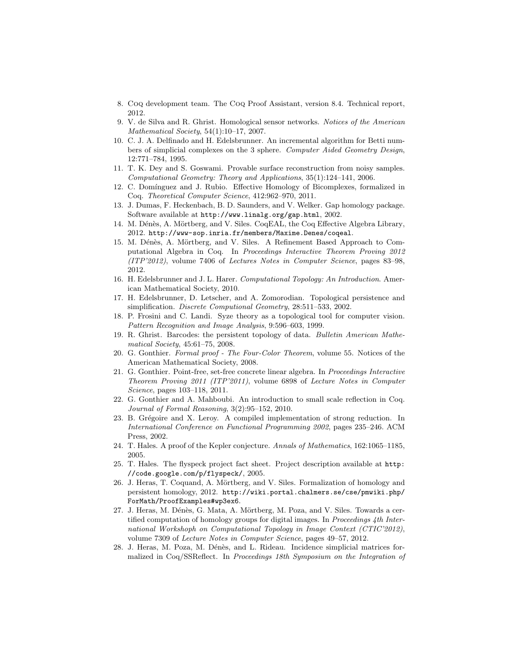- <span id="page-17-5"></span>8. Coq development team. The Coq Proof Assistant, version 8.4. Technical report, 2012.
- <span id="page-17-3"></span>9. V. de Silva and R. Ghrist. Homological sensor networks. Notices of the American Mathematical Society, 54(1):10–17, 2007.
- <span id="page-17-0"></span>10. C. J. A. Delfinado and H. Edelsbrunner. An incremental algorithm for Betti numbers of simplicial complexes on the 3 sphere. Computer Aided Geometry Design, 12:771–784, 1995.
- <span id="page-17-4"></span>11. T. K. Dey and S. Goswami. Provable surface reconstruction from noisy samples. Computational Geometry: Theory and Applications, 35(1):124–141, 2006.
- <span id="page-17-20"></span>12. C. Dom´ınguez and J. Rubio. Effective Homology of Bicomplexes, formalized in Coq. Theoretical Computer Science, 412:962–970, 2011.
- <span id="page-17-15"></span>13. J. Dumas, F. Heckenbach, B. D. Saunders, and V. Welker. Gap homology package. Software available at <http://www.linalg.org/gap.html>, 2002.
- <span id="page-17-14"></span>14. M. Dénès, A. Mörtberg, and V. Siles. CoqEAL, the Coq Effective Algebra Library, 2012. <http://www-sop.inria.fr/members/Maxime.Denes/coqeal>.
- <span id="page-17-13"></span>15. M. Dénès, A. Mörtberg, and V. Siles. A Refinement Based Approach to Computational Algebra in Coq. In Proceedings Interactive Theorem Proving 2012 (ITP'2012), volume 7406 of Lectures Notes in Computer Science, pages 83–98, 2012.
- <span id="page-17-7"></span>16. H. Edelsbrunner and J. L. Harer. Computational Topology: An Introduction. American Mathematical Society, 2010.
- <span id="page-17-9"></span>17. H. Edelsbrunner, D. Letscher, and A. Zomorodian. Topological persistence and simplification. Discrete Computional Geometry, 28:511–533, 2002.
- <span id="page-17-1"></span>18. P. Frosini and C. Landi. Syze theory as a topological tool for computer vision. Pattern Recognition and Image Analysis, 9:596–603, 1999.
- <span id="page-17-2"></span>19. R. Ghrist. Barcodes: the persistent topology of data. Bulletin American Mathematical Society, 45:61–75, 2008.
- <span id="page-17-17"></span>20. G. Gonthier. Formal proof - The Four-Color Theorem, volume 55. Notices of the American Mathematical Society, 2008.
- <span id="page-17-12"></span>21. G. Gonthier. Point-free, set-free concrete linear algebra. In Proceedings Interactive Theorem Proving 2011 (ITP'2011), volume 6898 of Lecture Notes in Computer Science, pages 103–118, 2011.
- <span id="page-17-6"></span>22. G. Gonthier and A. Mahboubi. An introduction to small scale reflection in Coq. Journal of Formal Reasoning, 3(2):95–152, 2010.
- <span id="page-17-16"></span>23. B. Grégoire and X. Leroy. A compiled implementation of strong reduction. In International Conference on Functional Programming 2002, pages 235–246. ACM Press, 2002.
- <span id="page-17-19"></span>24. T. Hales. A proof of the Kepler conjecture. Annals of Mathematics, 162:1065–1185, 2005.
- <span id="page-17-18"></span>25. T. Hales. The flyspeck project fact sheet. Project description available at [http:](http://code.google.com/p/flyspeck/) [//code.google.com/p/flyspeck/](http://code.google.com/p/flyspeck/), 2005.
- <span id="page-17-8"></span>26. J. Heras, T. Coquand, A. Mörtberg, and V. Siles. Formalization of homology and persistent homology, 2012. [http://wiki.portal.chalmers.se/cse/pmwiki.php/](http://wiki.portal.chalmers.se/cse/pmwiki.php/ForMath/ProofExamples#wp3ex6) [ForMath/ProofExamples#wp3ex6](http://wiki.portal.chalmers.se/cse/pmwiki.php/ForMath/ProofExamples#wp3ex6).
- <span id="page-17-11"></span>27. J. Heras, M. Dénès, G. Mata, A. Mörtberg, M. Poza, and V. Siles. Towards a certified computation of homology groups for digital images. In Proceedings 4th International Workshoph on Computational Topology in Image Context (CTIC'2012), volume 7309 of Lecture Notes in Computer Science, pages 49–57, 2012.
- <span id="page-17-10"></span>28. J. Heras, M. Poza, M. Dénès, and L. Rideau. Incidence simplicial matrices formalized in Coq/SSReflect. In Proceedings 18th Symposium on the Integration of